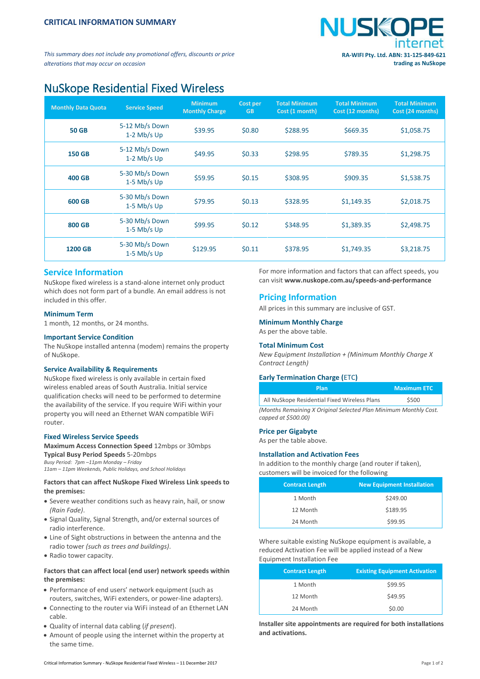

*This summary does not include any promotional offers, discounts or price alterations that may occur on occasion*

# NuSkope Residential Fixed Wireless

| <b>Monthly Data Quota</b> | <b>Service Speed</b>            | <b>Minimum</b><br><b>Monthly Charge</b> | Cost per<br><b>GB</b> | <b>Total Minimum</b><br>Cost (1 month) | <b>Total Minimum</b><br>Cost (12 months) | <b>Total Minimum</b><br>Cost (24 months) |
|---------------------------|---------------------------------|-----------------------------------------|-----------------------|----------------------------------------|------------------------------------------|------------------------------------------|
| <b>50 GB</b>              | 5-12 Mb/s Down<br>$1-2$ Mb/s Up | \$39.95                                 | \$0.80                | \$288.95                               | \$669.35                                 | \$1,058.75                               |
| <b>150 GB</b>             | 5-12 Mb/s Down<br>$1-2$ Mb/s Up | \$49.95                                 | \$0.33                | \$298.95                               | \$789.35                                 | \$1,298.75                               |
| <b>400 GB</b>             | 5-30 Mb/s Down<br>$1-5$ Mb/s Up | \$59.95                                 | \$0.15                | \$308.95                               | \$909.35                                 | \$1,538.75                               |
| 600 GB                    | 5-30 Mb/s Down<br>$1-5$ Mb/s Up | \$79.95                                 | \$0.13                | \$328.95                               | \$1,149.35                               | \$2,018.75                               |
| <b>800 GB</b>             | 5-30 Mb/s Down<br>$1-5$ Mb/s Up | \$99.95                                 | \$0.12                | \$348.95                               | \$1,389.35                               | \$2,498.75                               |
| <b>1200 GB</b>            | 5-30 Mb/s Down<br>$1-5$ Mb/s Up | \$129.95                                | \$0.11                | \$378.95                               | \$1,749.35                               | \$3,218.75                               |

## **Service Information**

NuSkope fixed wireless is a stand-alone internet only product which does not form part of a bundle. An email address is not included in this offer.

#### **Minimum Term**

1 month, 12 months, or 24 months.

#### **Important Service Condition**

The NuSkope installed antenna (modem) remains the property of NuSkope.

#### **Service Availability & Requirements**

NuSkope fixed wireless is only available in certain fixed wireless enabled areas of South Australia. Initial service qualification checks will need to be performed to determine the availability of the service. If you require WiFi within your property you will need an Ethernet WAN compatible WiFi router.

#### **Fixed Wireless Service Speeds**

**Maximum Access Connection Speed** 12mbps or 30mbps **Typical Busy Period Speeds** 5-20mbps

*Busy Period: 7pm –11pm Monday – Friday*

*11am – 11pm Weekends, Public Holidays, and School Holidays*

#### **Factors that can affect NuSkope Fixed Wireless Link speeds to the premises:**

- Severe weather conditions such as heavy rain, hail, or snow *(Rain Fade)*.
- Signal Quality, Signal Strength, and/or external sources of radio interference.
- Line of Sight obstructions in between the antenna and the radio tower *(such as trees and buildings)*.
- Radio tower capacity.

#### **Factors that can affect local (end user) network speeds within the premises:**

- Performance of end users' network equipment (such as routers, switches, WiFi extenders, or power-line adapters).
- Connecting to the router via WiFi instead of an Ethernet LAN cable.
- Quality of internal data cabling (*if present*).
- Amount of people using the internet within the property at the same time.

For more information and factors that can affect speeds, you can visit **[www.nuskope.com.au/speeds-and-performance](http://www.nuskope.com.au/speeds-and-performance)**

## **Pricing Information**

All prices in this summary are inclusive of GST.

#### **Minimum Monthly Charge**

As per the above table.

#### **Total Minimum Cost**

*New Equipment Installation + (Minimum Monthly Charge X Contract Length)*

#### **Early Termination Charge (**ETC**)**

| Plan                                         | <b>Maximum ETC</b> |
|----------------------------------------------|--------------------|
| All NuSkope Residential Fixed Wireless Plans | \$500              |

*(Months Remaining X Original Selected Plan Minimum Monthly Cost. capped at \$500.00)*

#### **Price per Gigabyte**

As per the table above.

#### **Installation and Activation Fees**

In addition to the monthly charge (and router if taken), customers will be invoiced for the following

| <b>Contract Length</b> | <b>New Equipment Installation</b> |
|------------------------|-----------------------------------|
| 1 Month                | \$249.00                          |
| 12 Month               | \$189.95                          |
| 24 Month               | \$99.95                           |

Where suitable existing NuSkope equipment is available, a reduced Activation Fee will be applied instead of a New Equipment Installation Fee

| <b>Contract Length</b> | <b>Existing Equipment Activation</b> |
|------------------------|--------------------------------------|
| 1 Month                | \$99.95                              |
| 12 Month               | \$49.95                              |
| 24 Month               | \$0.00                               |

**Installer site appointments are required for both installations and activations.**